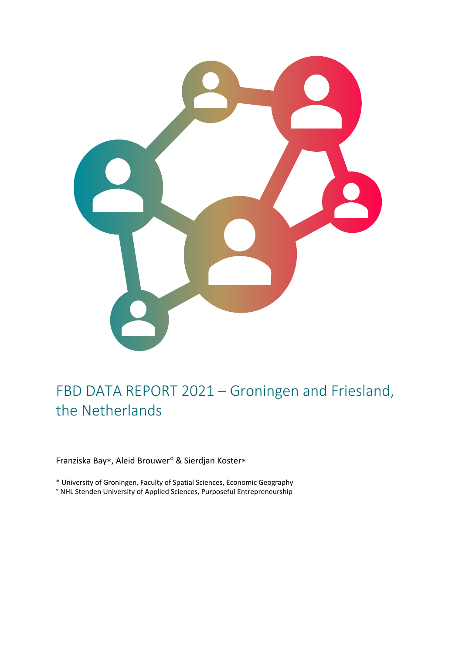

# FBD DATA REPORT 2021 – Groningen and Friesland, the Netherlands

Franziska Bay\*, Aleid Brouwer° & Sierdjan Koster\*

\* University of Groningen, Faculty of Spatial Sciences, Economic Geography

° NHL Stenden University of Applied Sciences, Purposeful Entrepreneurship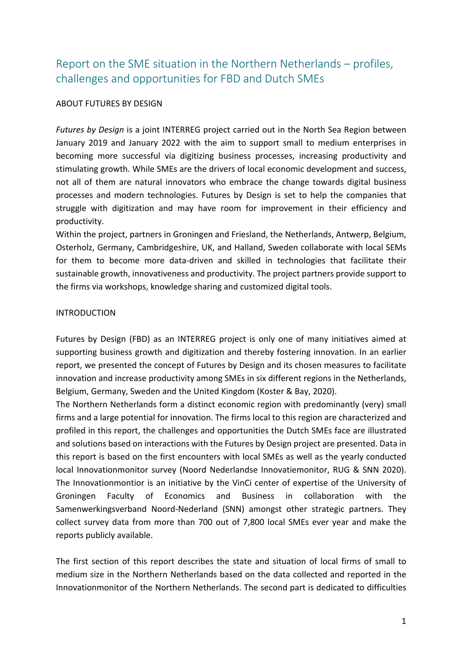# Report on the SME situation in the Northern Netherlands – profiles, challenges and opportunities for FBD and Dutch SMEs

### ABOUT FUTURES BY DESIGN

*Futures by Design* is a joint INTERREG project carried out in the North Sea Region between January 2019 and January 2022 with the aim to support small to medium enterprises in becoming more successful via digitizing business processes, increasing productivity and stimulating growth. While SMEs are the drivers of local economic development and success, not all of them are natural innovators who embrace the change towards digital business processes and modern technologies. Futures by Design is set to help the companies that struggle with digitization and may have room for improvement in their efficiency and productivity.

Within the project, partners in Groningen and Friesland, the Netherlands, Antwerp, Belgium, Osterholz, Germany, Cambridgeshire, UK, and Halland, Sweden collaborate with local SEMs for them to become more data-driven and skilled in technologies that facilitate their sustainable growth, innovativeness and productivity. The project partners provide support to the firms via workshops, knowledge sharing and customized digital tools.

#### INTRODUCTION

Futures by Design (FBD) as an INTERREG project is only one of many initiatives aimed at supporting business growth and digitization and thereby fostering innovation. In an earlier report, we presented the concept of Futures by Design and its chosen measures to facilitate innovation and increase productivity among SMEs in six different regions in the Netherlands, Belgium, Germany, Sweden and the United Kingdom (Koster & Bay, 2020).

The Northern Netherlands form a distinct economic region with predominantly (very) small firms and a large potential for innovation. The firms local to this region are characterized and profiled in this report, the challenges and opportunities the Dutch SMEs face are illustrated and solutions based on interactions with the Futures by Design project are presented. Data in this report is based on the first encounters with local SMEs as well as the yearly conducted local Innovationmonitor survey (Noord Nederlandse Innovatiemonitor, RUG & SNN 2020). The Innovationmontior is an initiative by the VinCi center of expertise of the University of Groningen Faculty of Economics and Business in collaboration with the Samenwerkingsverband Noord-Nederland (SNN) amongst other strategic partners. They collect survey data from more than 700 out of 7,800 local SMEs ever year and make the reports publicly available.

The first section of this report describes the state and situation of local firms of small to medium size in the Northern Netherlands based on the data collected and reported in the Innovationmonitor of the Northern Netherlands. The second part is dedicated to difficulties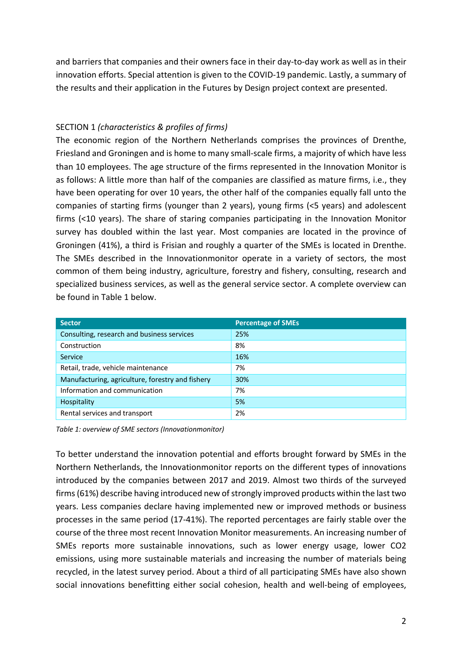and barriers that companies and their owners face in their day-to-day work as well as in their innovation efforts. Special attention is given to the COVID-19 pandemic. Lastly, a summary of the results and their application in the Futures by Design project context are presented.

# SECTION 1 *(characteristics & profiles of firms)*

The economic region of the Northern Netherlands comprises the provinces of Drenthe, Friesland and Groningen and is home to many small-scale firms, a majority of which have less than 10 employees. The age structure of the firms represented in the Innovation Monitor is as follows: A little more than half of the companies are classified as mature firms, i.e., they have been operating for over 10 years, the other half of the companies equally fall unto the companies of starting firms (younger than 2 years), young firms (<5 years) and adolescent firms (<10 years). The share of staring companies participating in the Innovation Monitor survey has doubled within the last year. Most companies are located in the province of Groningen (41%), a third is Frisian and roughly a quarter of the SMEs is located in Drenthe. The SMEs described in the Innovationmonitor operate in a variety of sectors, the most common of them being industry, agriculture, forestry and fishery, consulting, research and specialized business services, as well as the general service sector. A complete overview can be found in Table 1 below.

| <b>Sector</b>                                    | <b>Percentage of SMEs</b> |
|--------------------------------------------------|---------------------------|
| Consulting, research and business services       | 25%                       |
| Construction                                     | 8%                        |
| Service                                          | 16%                       |
| Retail, trade, vehicle maintenance               | 7%                        |
| Manufacturing, agriculture, forestry and fishery | 30%                       |
| Information and communication                    | 7%                        |
| Hospitality                                      | 5%                        |
| Rental services and transport                    | 2%                        |

*Table 1: overview of SME sectors (Innovationmonitor)*

To better understand the innovation potential and efforts brought forward by SMEs in the Northern Netherlands, the Innovationmonitor reports on the different types of innovations introduced by the companies between 2017 and 2019. Almost two thirds of the surveyed firms (61%) describe having introduced new of strongly improved products within the last two years. Less companies declare having implemented new or improved methods or business processes in the same period (17-41%). The reported percentages are fairly stable over the course of the three most recent Innovation Monitor measurements. An increasing number of SMEs reports more sustainable innovations, such as lower energy usage, lower CO2 emissions, using more sustainable materials and increasing the number of materials being recycled, in the latest survey period. About a third of all participating SMEs have also shown social innovations benefitting either social cohesion, health and well-being of employees,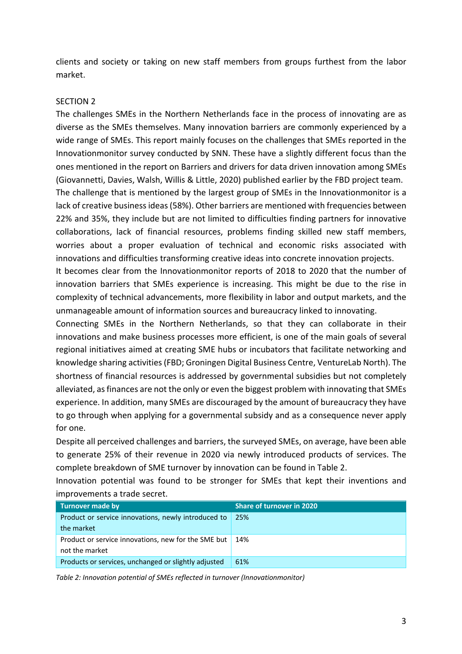clients and society or taking on new staff members from groups furthest from the labor market.

#### SECTION 2

The challenges SMEs in the Northern Netherlands face in the process of innovating are as diverse as the SMEs themselves. Many innovation barriers are commonly experienced by a wide range of SMEs. This report mainly focuses on the challenges that SMEs reported in the Innovationmonitor survey conducted by SNN. These have a slightly different focus than the ones mentioned in the report on Barriers and drivers for data driven innovation among SMEs (Giovannetti, Davies, Walsh, Willis & Little, 2020) published earlier by the FBD project team.

The challenge that is mentioned by the largest group of SMEs in the Innovationmonitor is a lack of creative business ideas (58%). Other barriers are mentioned with frequencies between 22% and 35%, they include but are not limited to difficulties finding partners for innovative collaborations, lack of financial resources, problems finding skilled new staff members, worries about a proper evaluation of technical and economic risks associated with innovations and difficulties transforming creative ideas into concrete innovation projects.

It becomes clear from the Innovationmonitor reports of 2018 to 2020 that the number of innovation barriers that SMEs experience is increasing. This might be due to the rise in complexity of technical advancements, more flexibility in labor and output markets, and the unmanageable amount of information sources and bureaucracy linked to innovating.

Connecting SMEs in the Northern Netherlands, so that they can collaborate in their innovations and make business processes more efficient, is one of the main goals of several regional initiatives aimed at creating SME hubs or incubators that facilitate networking and knowledge sharing activities (FBD; Groningen Digital Business Centre, VentureLab North). The shortness of financial resources is addressed by governmental subsidies but not completely alleviated, as finances are not the only or even the biggest problem with innovating that SMEs experience. In addition, many SMEs are discouraged by the amount of bureaucracy they have to go through when applying for a governmental subsidy and as a consequence never apply for one.

Despite all perceived challenges and barriers, the surveyed SMEs, on average, have been able to generate 25% of their revenue in 2020 via newly introduced products of services. The complete breakdown of SME turnover by innovation can be found in Table 2.

Innovation potential was found to be stronger for SMEs that kept their inventions and improvements a trade secret.

| Turnover made by                                     | <b>Share of turnover in 2020</b> |
|------------------------------------------------------|----------------------------------|
| Product or service innovations, newly introduced to  | 25%                              |
| the market                                           |                                  |
| Product or service innovations, new for the SME but  | 14%                              |
| not the market                                       |                                  |
| Products or services, unchanged or slightly adjusted | 61%                              |

*Table 2: Innovation potential of SMEs reflected in turnover (Innovationmonitor)*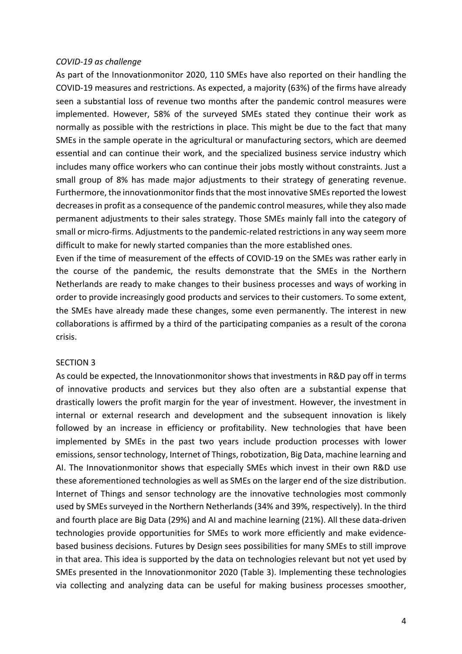#### *COVID-19 as challenge*

As part of the Innovationmonitor 2020, 110 SMEs have also reported on their handling the COVID-19 measures and restrictions. As expected, a majority (63%) of the firms have already seen a substantial loss of revenue two months after the pandemic control measures were implemented. However, 58% of the surveyed SMEs stated they continue their work as normally as possible with the restrictions in place. This might be due to the fact that many SMEs in the sample operate in the agricultural or manufacturing sectors, which are deemed essential and can continue their work, and the specialized business service industry which includes many office workers who can continue their jobs mostly without constraints. Just a small group of 8% has made major adjustments to their strategy of generating revenue. Furthermore, the innovationmonitor finds that the most innovative SMEs reported the lowest decreases in profit as a consequence of the pandemic control measures, while they also made permanent adjustments to their sales strategy. Those SMEs mainly fall into the category of small or micro-firms. Adjustments to the pandemic-related restrictions in any way seem more difficult to make for newly started companies than the more established ones.

Even if the time of measurement of the effects of COVID-19 on the SMEs was rather early in the course of the pandemic, the results demonstrate that the SMEs in the Northern Netherlands are ready to make changes to their business processes and ways of working in order to provide increasingly good products and services to their customers. To some extent, the SMEs have already made these changes, some even permanently. The interest in new collaborations is affirmed by a third of the participating companies as a result of the corona crisis.

#### SECTION 3

As could be expected, the Innovationmonitor shows that investments in R&D pay off in terms of innovative products and services but they also often are a substantial expense that drastically lowers the profit margin for the year of investment. However, the investment in internal or external research and development and the subsequent innovation is likely followed by an increase in efficiency or profitability. New technologies that have been implemented by SMEs in the past two years include production processes with lower emissions, sensor technology, Internet of Things, robotization, Big Data, machine learning and AI. The Innovationmonitor shows that especially SMEs which invest in their own R&D use these aforementioned technologies as well as SMEs on the larger end of the size distribution. Internet of Things and sensor technology are the innovative technologies most commonly used by SMEs surveyed in the Northern Netherlands (34% and 39%, respectively). In the third and fourth place are Big Data (29%) and AI and machine learning (21%). All these data-driven technologies provide opportunities for SMEs to work more efficiently and make evidencebased business decisions. Futures by Design sees possibilities for many SMEs to still improve in that area. This idea is supported by the data on technologies relevant but not yet used by SMEs presented in the Innovationmonitor 2020 (Table 3). Implementing these technologies via collecting and analyzing data can be useful for making business processes smoother,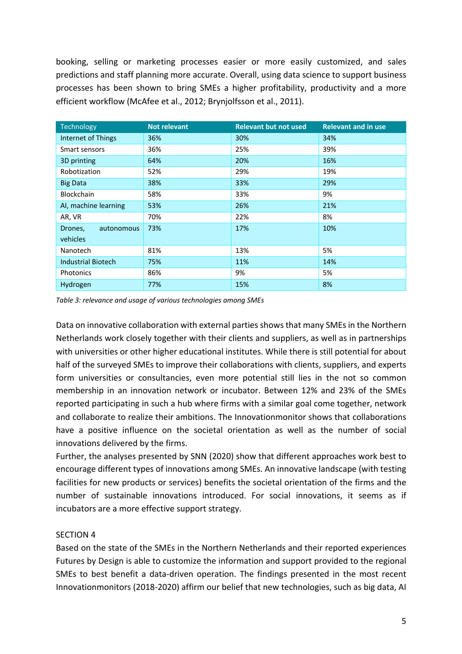booking, selling or marketing processes easier or more easily customized, and sales predictions and staff planning more accurate. Overall, using data science to support business processes has been shown to bring SMEs a higher profitability, productivity and a more efficient workflow (McAfee et al., 2012; Brynjolfsson et al., 2011).

| Technology                | <b>Not relevant</b> | <b>Relevant but not used</b> | <b>Relevant and in use</b> |
|---------------------------|---------------------|------------------------------|----------------------------|
| Internet of Things        | 36%                 | 30%                          | 34%                        |
| Smart sensors             | 36%                 | 25%                          | 39%                        |
| 3D printing               | 64%                 | 20%                          | 16%                        |
| Robotization              | 52%                 | 29%                          | 19%                        |
| <b>Big Data</b>           | 38%                 | 33%                          | 29%                        |
| <b>Blockchain</b>         | 58%                 | 33%                          | 9%                         |
| AI, machine learning      | 53%                 | 26%                          | 21%                        |
| AR, VR                    | 70%                 | 22%                          | 8%                         |
| autonomous<br>Drones,     | 73%                 | 17%                          | 10%                        |
| vehicles                  |                     |                              |                            |
| Nanotech                  | 81%                 | 13%                          | 5%                         |
| <b>Industrial Biotech</b> | 75%                 | 11%                          | 14%                        |
| Photonics                 | 86%                 | 9%                           | 5%                         |
| Hydrogen                  | 77%                 | 15%                          | 8%                         |

*Table 3: relevance and usage of various technologies among SMEs*

Data on innovative collaboration with external parties shows that many SMEs in the Northern Netherlands work closely together with their clients and suppliers, as well as in partnerships with universities or other higher educational institutes. While there is still potential for about half of the surveyed SMEs to improve their collaborations with clients, suppliers, and experts form universities or consultancies, even more potential still lies in the not so common membership in an innovation network or incubator. Between 12% and 23% of the SMEs reported participating in such a hub where firms with a similar goal come together, network and collaborate to realize their ambitions. The Innovationmonitor shows that collaborations have a positive influence on the societal orientation as well as the number of social innovations delivered by the firms.

Further, the analyses presented by SNN (2020) show that different approaches work best to encourage different types of innovations among SMEs. An innovative landscape (with testing facilities for new products or services) benefits the societal orientation of the firms and the number of sustainable innovations introduced. For social innovations, it seems as if incubators are a more effective support strategy.

# SECTION 4

Based on the state of the SMEs in the Northern Netherlands and their reported experiences Futures by Design is able to customize the information and support provided to the regional SMEs to best benefit a data-driven operation. The findings presented in the most recent Innovationmonitors (2018-2020) affirm our belief that new technologies, such as big data, AI